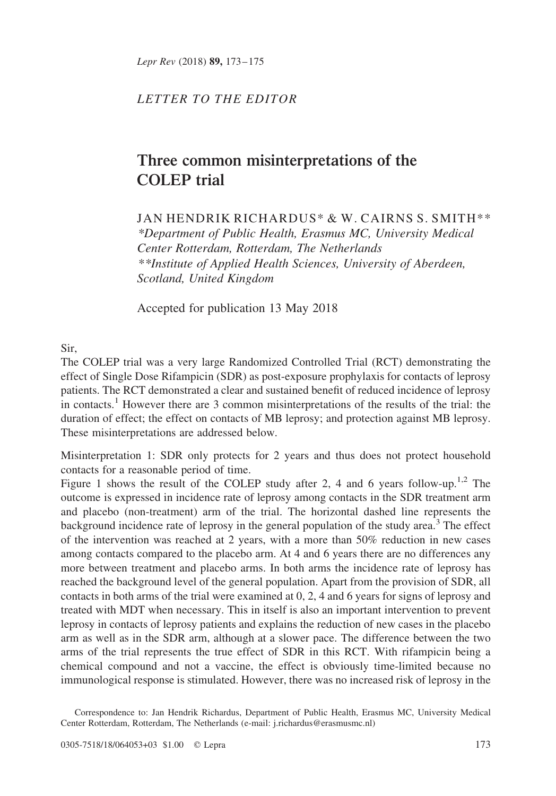Lepr Rev (2018) 89, 173-175

## LETTER TO THE EDITOR

## Three common misinterpretations of the COLEP trial

JAN HENDRIK RICHARDUS\* & W. CAIRNS S. SMITH\*\* \*Department of Public Health, Erasmus MC, University Medical Center Rotterdam, Rotterdam, The Netherlands \*\*Institute of Applied Health Sciences, University of Aberdeen, Scotland, United Kingdom

Accepted for publication 13 May 2018

Sir,

The COLEP trial was a very large Randomized Controlled Trial (RCT) demonstrating the effect of Single Dose Rifampicin (SDR) as post-exposure prophylaxis for contacts of leprosy patients. The RCT demonstrated a clear and sustained benefit of reduced incidence of leprosy in contacts.<sup>[1](#page-2-0)</sup> However there are 3 common misinterpretations of the results of the trial: the duration of effect; the effect on contacts of MB leprosy; and protection against MB leprosy. These misinterpretations are addressed below.

Misinterpretation 1: SDR only protects for 2 years and thus does not protect household contacts for a reasonable period of time.

[Figure 1](#page-1-0) shows the result of the COLEP study after 2, 4 and 6 years follow-up.<sup>[1,2](#page-2-0)</sup> The outcome is expressed in incidence rate of leprosy among contacts in the SDR treatment arm and placebo (non-treatment) arm of the trial. The horizontal dashed line represents the background incidence rate of leprosy in the general population of the study area.<sup>[3](#page-2-0)</sup> The effect of the intervention was reached at 2 years, with a more than 50% reduction in new cases among contacts compared to the placebo arm. At 4 and 6 years there are no differences any more between treatment and placebo arms. In both arms the incidence rate of leprosy has reached the background level of the general population. Apart from the provision of SDR, all contacts in both arms of the trial were examined at 0, 2, 4 and 6 years for signs of leprosy and treated with MDT when necessary. This in itself is also an important intervention to prevent leprosy in contacts of leprosy patients and explains the reduction of new cases in the placebo arm as well as in the SDR arm, although at a slower pace. The difference between the two arms of the trial represents the true effect of SDR in this RCT. With rifampicin being a chemical compound and not a vaccine, the effect is obviously time-limited because no immunological response is stimulated. However, there was no increased risk of leprosy in the

Correspondence to: Jan Hendrik Richardus, Department of Public Health, Erasmus MC, University Medical Center Rotterdam, Rotterdam, The Netherlands (e-mail: j.richardus@erasmusmc.nl)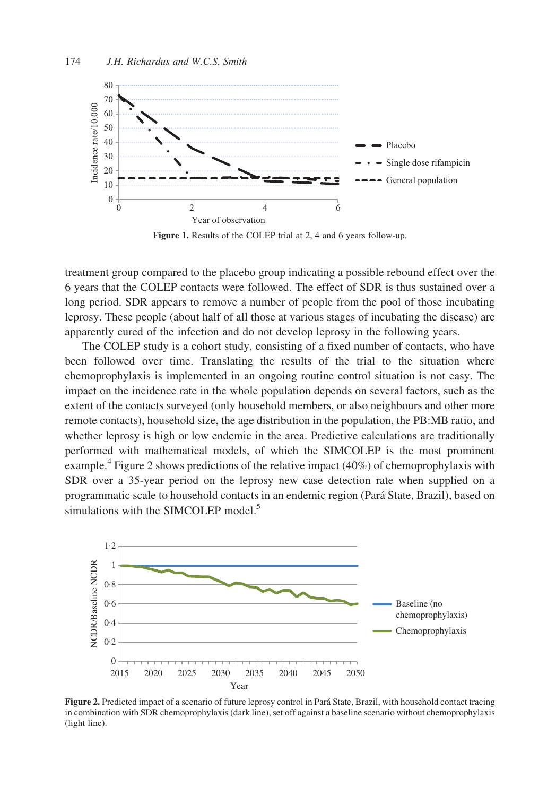<span id="page-1-0"></span>

Figure 1. Results of the COLEP trial at 2, 4 and 6 years follow-up.

treatment group compared to the placebo group indicating a possible rebound effect over the 6 years that the COLEP contacts were followed. The effect of SDR is thus sustained over a long period. SDR appears to remove a number of people from the pool of those incubating leprosy. These people (about half of all those at various stages of incubating the disease) are apparently cured of the infection and do not develop leprosy in the following years.

The COLEP study is a cohort study, consisting of a fixed number of contacts, who have been followed over time. Translating the results of the trial to the situation where chemoprophylaxis is implemented in an ongoing routine control situation is not easy. The impact on the incidence rate in the whole population depends on several factors, such as the extent of the contacts surveyed (only household members, or also neighbours and other more remote contacts), household size, the age distribution in the population, the PB:MB ratio, and whether leprosy is high or low endemic in the area. Predictive calculations are traditionally performed with mathematical models, of which the SIMCOLEP is the most prominent example.<sup>[4](#page-2-0)</sup> Figure 2 shows predictions of the relative impact (40%) of chemoprophylaxis with SDR over a 35-year period on the leprosy new case detection rate when supplied on a programmatic scale to household contacts in an endemic region (Para´ State, Brazil), based on simulations with the SIMCOLEP model.<sup>5</sup>



Figure 2. Predicted impact of a scenario of future leprosy control in Pará State, Brazil, with household contact tracing in combination with SDR chemoprophylaxis (dark line), set off against a baseline scenario without chemoprophylaxis (light line).